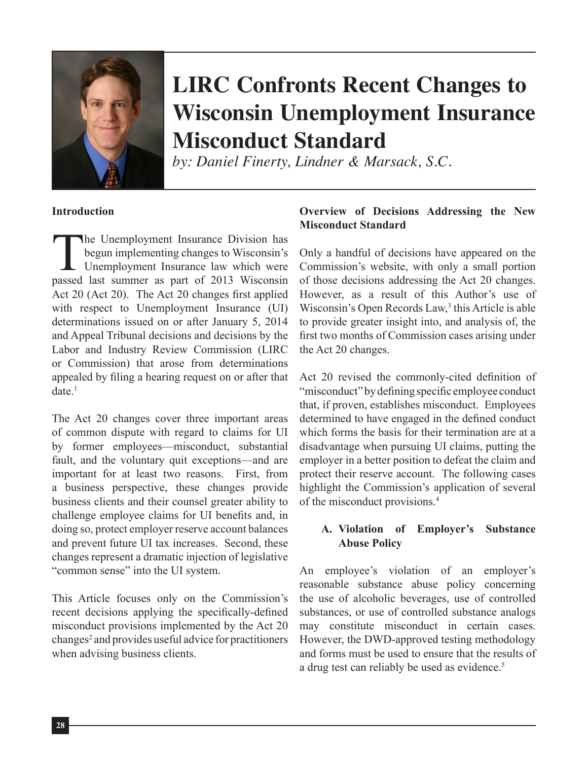

# **LIRC Confronts Recent Changes to Wisconsin Unemployment Insurance Misconduct Standard**

*by: Daniel Finerty, Lindner & Marsack, S.C.*

#### **Introduction**

The Unemployment Insurance Division has<br>begun implementing changes to Wisconsin's<br>Unemployment Insurance law which were<br>passed last summer as part of 2013 Wisconsin begun implementing changes to Wisconsin's Unemployment Insurance law which were passed last summer as part of 2013 Wisconsin Act 20 (Act 20). The Act 20 changes first applied with respect to Unemployment Insurance (UI) determinations issued on or after January 5, 2014 and Appeal Tribunal decisions and decisions by the Labor and Industry Review Commission (LIRC or Commission) that arose from determinations appealed by filing a hearing request on or after that  $date.$ <sup>1</sup>

The Act 20 changes cover three important areas of common dispute with regard to claims for UI by former employees—misconduct, substantial fault, and the voluntary quit exceptions—and are important for at least two reasons. First, from a business perspective, these changes provide business clients and their counsel greater ability to challenge employee claims for UI benefits and, in doing so, protect employer reserve account balances and prevent future UI tax increases. Second, these changes represent a dramatic injection of legislative "common sense" into the UI system.

This Article focuses only on the Commission's recent decisions applying the specifically-defined misconduct provisions implemented by the Act 20 changes<sup>2</sup> and provides useful advice for practitioners when advising business clients.

## **Overview of Decisions Addressing the New Misconduct Standard**

Only a handful of decisions have appeared on the Commission's website, with only a small portion of those decisions addressing the Act 20 changes. However, as a result of this Author's use of Wisconsin's Open Records Law,<sup>3</sup> this Article is able to provide greater insight into, and analysis of, the first two months of Commission cases arising under the Act 20 changes.

Act 20 revised the commonly-cited definition of "misconduct" by defining specific employee conduct that, if proven, establishes misconduct. Employees determined to have engaged in the defined conduct which forms the basis for their termination are at a disadvantage when pursuing UI claims, putting the employer in a better position to defeat the claim and protect their reserve account. The following cases highlight the Commission's application of several of the misconduct provisions.4

## **A. Violation of Employer's Substance Abuse Policy**

An employee's violation of an employer's reasonable substance abuse policy concerning the use of alcoholic beverages, use of controlled substances, or use of controlled substance analogs may constitute misconduct in certain cases. However, the DWD-approved testing methodology and forms must be used to ensure that the results of a drug test can reliably be used as evidence.<sup>5</sup>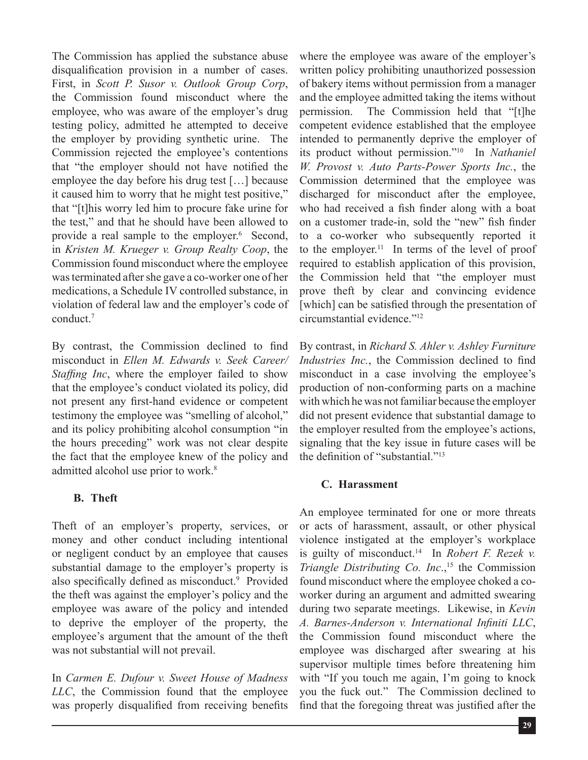The Commission has applied the substance abuse disqualification provision in a number of cases. First, in *Scott P. Susor v. Outlook Group Corp*, the Commission found misconduct where the employee, who was aware of the employer's drug testing policy, admitted he attempted to deceive the employer by providing synthetic urine. The Commission rejected the employee's contentions that "the employer should not have notified the employee the day before his drug test […] because it caused him to worry that he might test positive," that "[t]his worry led him to procure fake urine for the test," and that he should have been allowed to provide a real sample to the employer.<sup>6</sup> Second, in *Kristen M. Krueger v. Group Realty Coop*, the Commission found misconduct where the employee was terminated after she gave a co-worker one of her medications, a Schedule IV controlled substance, in violation of federal law and the employer's code of conduct.7

By contrast, the Commission declined to find misconduct in *Ellen M. Edwards v. Seek Career/ Staffing Inc*, where the employer failed to show that the employee's conduct violated its policy, did not present any first-hand evidence or competent testimony the employee was "smelling of alcohol," and its policy prohibiting alcohol consumption "in the hours preceding" work was not clear despite the fact that the employee knew of the policy and admitted alcohol use prior to work.<sup>8</sup>

## **B. Theft**

Theft of an employer's property, services, or money and other conduct including intentional or negligent conduct by an employee that causes substantial damage to the employer's property is also specifically defined as misconduct.<sup>9</sup> Provided the theft was against the employer's policy and the employee was aware of the policy and intended to deprive the employer of the property, the employee's argument that the amount of the theft was not substantial will not prevail.

In *Carmen E. Dufour v. Sweet House of Madness LLC*, the Commission found that the employee was properly disqualified from receiving benefits where the employee was aware of the employer's written policy prohibiting unauthorized possession of bakery items without permission from a manager and the employee admitted taking the items without permission. The Commission held that "[t]he competent evidence established that the employee intended to permanently deprive the employer of its product without permission."10 In *Nathaniel W. Provost v. Auto Parts-Power Sports Inc.*, the Commission determined that the employee was discharged for misconduct after the employee, who had received a fish finder along with a boat on a customer trade-in, sold the "new" fish finder to a co-worker who subsequently reported it to the employer.<sup>11</sup> In terms of the level of proof required to establish application of this provision, the Commission held that "the employer must prove theft by clear and convincing evidence [which] can be satisfied through the presentation of circumstantial evidence."12

By contrast, in *Richard S. Ahler v. Ashley Furniture Industries Inc.*, the Commission declined to find misconduct in a case involving the employee's production of non-conforming parts on a machine with which he was not familiar because the employer did not present evidence that substantial damage to the employer resulted from the employee's actions, signaling that the key issue in future cases will be the definition of "substantial."<sup>13</sup>

## **C. Harassment**

An employee terminated for one or more threats or acts of harassment, assault, or other physical violence instigated at the employer's workplace is guilty of misconduct.14 In *Robert F. Rezek v. Triangle Distributing Co. Inc.,*<sup>15</sup> the Commission found misconduct where the employee choked a coworker during an argument and admitted swearing during two separate meetings. Likewise, in *Kevin A. Barnes-Anderson v. International Infiniti LLC*, the Commission found misconduct where the employee was discharged after swearing at his supervisor multiple times before threatening him with "If you touch me again, I'm going to knock you the fuck out." The Commission declined to find that the foregoing threat was justified after the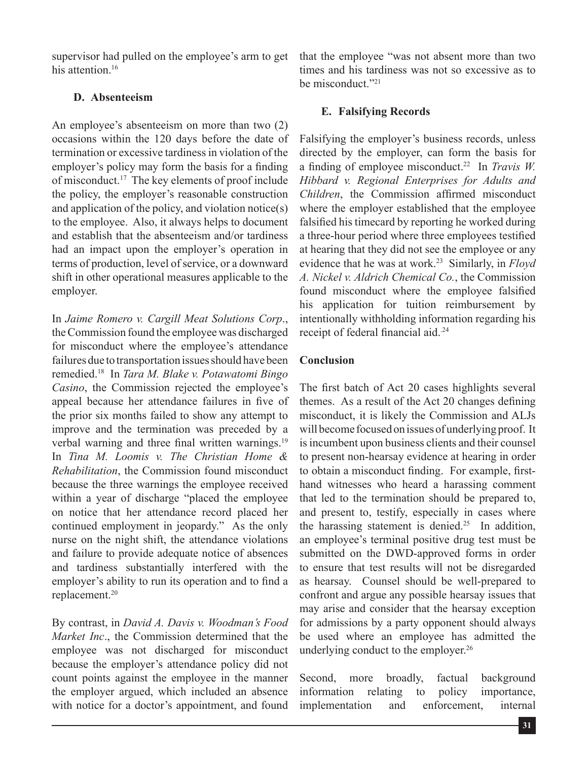supervisor had pulled on the employee's arm to get his attention.<sup>16</sup>

## **D. Absenteeism**

An employee's absenteeism on more than two (2) occasions within the 120 days before the date of termination or excessive tardiness in violation of the employer's policy may form the basis for a finding of misconduct.17 The key elements of proof include the policy, the employer's reasonable construction and application of the policy, and violation notice(s) to the employee. Also, it always helps to document and establish that the absenteeism and/or tardiness had an impact upon the employer's operation in terms of production, level of service, or a downward shift in other operational measures applicable to the employer.

In *Jaime Romero v. Cargill Meat Solutions Corp*., the Commission found the employee was discharged for misconduct where the employee's attendance failures due to transportation issues should have been remedied.18 In *Tara M. Blake v. Potawatomi Bingo Casino*, the Commission rejected the employee's appeal because her attendance failures in five of the prior six months failed to show any attempt to improve and the termination was preceded by a verbal warning and three final written warnings.<sup>19</sup> In *Tina M. Loomis v. The Christian Home & Rehabilitation*, the Commission found misconduct because the three warnings the employee received within a year of discharge "placed the employee on notice that her attendance record placed her continued employment in jeopardy." As the only nurse on the night shift, the attendance violations and failure to provide adequate notice of absences and tardiness substantially interfered with the employer's ability to run its operation and to find a replacement.20

By contrast, in *David A. Davis v. Woodman's Food Market Inc*., the Commission determined that the employee was not discharged for misconduct because the employer's attendance policy did not count points against the employee in the manner the employer argued, which included an absence with notice for a doctor's appointment, and found

that the employee "was not absent more than two times and his tardiness was not so excessive as to be misconduct<sup>"21</sup>

# **E. Falsifying Records**

Falsifying the employer's business records, unless directed by the employer, can form the basis for a finding of employee misconduct.22 In *Travis W. Hibbard v. Regional Enterprises for Adults and Children*, the Commission affirmed misconduct where the employer established that the employee falsified his timecard by reporting he worked during a three-hour period where three employees testified at hearing that they did not see the employee or any evidence that he was at work.23 Similarly, in *Floyd A. Nickel v. Aldrich Chemical Co.*, the Commission found misconduct where the employee falsified his application for tuition reimbursement by intentionally withholding information regarding his receipt of federal financial aid.<sup>24</sup>

## **Conclusion**

The first batch of Act 20 cases highlights several themes. As a result of the Act 20 changes defining misconduct, it is likely the Commission and ALJs will become focused on issues of underlying proof. It is incumbent upon business clients and their counsel to present non-hearsay evidence at hearing in order to obtain a misconduct finding. For example, firsthand witnesses who heard a harassing comment that led to the termination should be prepared to, and present to, testify, especially in cases where the harassing statement is denied.<sup>25</sup> In addition, an employee's terminal positive drug test must be submitted on the DWD-approved forms in order to ensure that test results will not be disregarded as hearsay. Counsel should be well-prepared to confront and argue any possible hearsay issues that may arise and consider that the hearsay exception for admissions by a party opponent should always be used where an employee has admitted the underlying conduct to the employer.<sup>26</sup>

Second, more broadly, factual background information relating to policy importance, implementation and enforcement, internal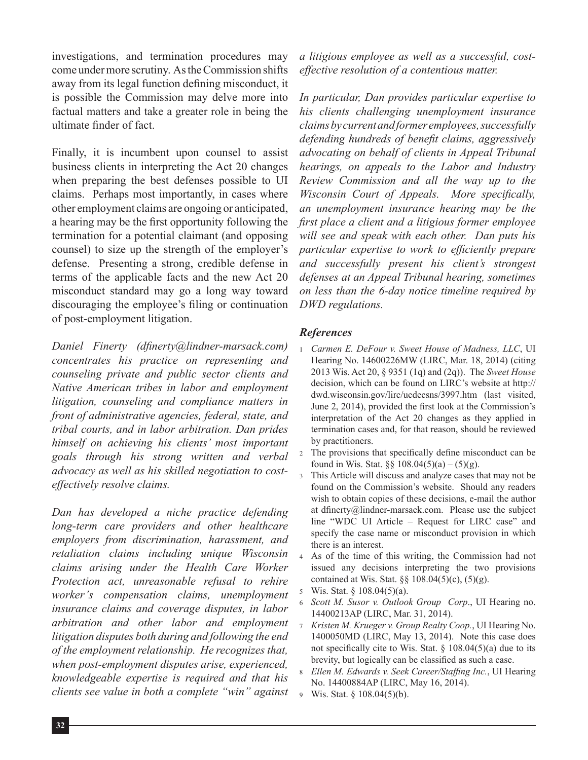investigations, and termination procedures may come under more scrutiny. As the Commission shifts away from its legal function defining misconduct, it is possible the Commission may delve more into factual matters and take a greater role in being the ultimate finder of fact.

Finally, it is incumbent upon counsel to assist business clients in interpreting the Act 20 changes when preparing the best defenses possible to UI claims. Perhaps most importantly, in cases where other employment claims are ongoing or anticipated, a hearing may be the first opportunity following the termination for a potential claimant (and opposing counsel) to size up the strength of the employer's defense. Presenting a strong, credible defense in terms of the applicable facts and the new Act 20 misconduct standard may go a long way toward discouraging the employee's filing or continuation of post-employment litigation.

*Daniel Finerty (dfinerty@lindner-marsack.com) concentrates his practice on representing and counseling private and public sector clients and Native American tribes in labor and employment litigation, counseling and compliance matters in front of administrative agencies, federal, state, and tribal courts, and in labor arbitration. Dan prides himself on achieving his clients' most important goals through his strong written and verbal advocacy as well as his skilled negotiation to costeffectively resolve claims.* 

*Dan has developed a niche practice defending long-term care providers and other healthcare employers from discrimination, harassment, and retaliation claims including unique Wisconsin claims arising under the Health Care Worker Protection act, unreasonable refusal to rehire worker's compensation claims, unemployment insurance claims and coverage disputes, in labor arbitration and other labor and employment litigation disputes both during and following the end of the employment relationship. He recognizes that, when post-employment disputes arise, experienced, knowledgeable expertise is required and that his clients see value in both a complete "win" against*  *a litigious employee as well as a successful, costeffective resolution of a contentious matter.*

*In particular, Dan provides particular expertise to his clients challenging unemployment insurance claims by current and former employees, successfully defending hundreds of benefit claims, aggressively advocating on behalf of clients in Appeal Tribunal hearings, on appeals to the Labor and Industry Review Commission and all the way up to the Wisconsin Court of Appeals. More specifically, an unemployment insurance hearing may be the first place a client and a litigious former employee will see and speak with each other. Dan puts his particular expertise to work to efficiently prepare and successfully present his client's strongest defenses at an Appeal Tribunal hearing, sometimes on less than the 6-day notice timeline required by DWD regulations.*

#### *References*

- <sup>1</sup> *Carmen E. DeFour v. Sweet House of Madness, LLC*, UI Hearing No. 14600226MW (LIRC, Mar. 18, 2014) (citing 2013 Wis. Act 20, § 9351 (1q) and (2q)). The *Sweet House* decision, which can be found on LIRC's website at http:// dwd.wisconsin.gov/lirc/ucdecsns/3997.htm (last visited, June 2, 2014), provided the first look at the Commission's interpretation of the Act 20 changes as they applied in termination cases and, for that reason, should be reviewed by practitioners.
- <sup>2</sup> The provisions that specifically define misconduct can be found in Wis. Stat.  $\S\S 108.04(5)(a) - (5)(g)$ .
- <sup>3</sup> This Article will discuss and analyze cases that may not be found on the Commission's website. Should any readers wish to obtain copies of these decisions, e-mail the author at dfinerty@lindner-marsack.com. Please use the subject line "WDC UI Article – Request for LIRC case" and specify the case name or misconduct provision in which there is an interest.
- <sup>4</sup> As of the time of this writing, the Commission had not issued any decisions interpreting the two provisions contained at Wis. Stat.  $\S$  108.04(5)(c), (5)(g).
- <sup>5</sup> Wis. Stat. § 108.04(5)(a).
- <sup>6</sup> *Scott M. Susor v. Outlook Group Corp*., UI Hearing no. 14400213AP (LIRC, Mar. 31, 2014).
- <sup>7</sup> *Kristen M. Krueger v. Group Realty Coop.*, UI Hearing No. 1400050MD (LIRC, May 13, 2014). Note this case does not specifically cite to Wis. Stat.  $\S$  108.04(5)(a) due to its brevity, but logically can be classified as such a case.
- <sup>8</sup> *Ellen M. Edwards v. Seek Career/Staffing Inc.*, UI Hearing No. 14400884AP (LIRC, May 16, 2014).
- <sup>9</sup> Wis. Stat. § 108.04(5)(b).